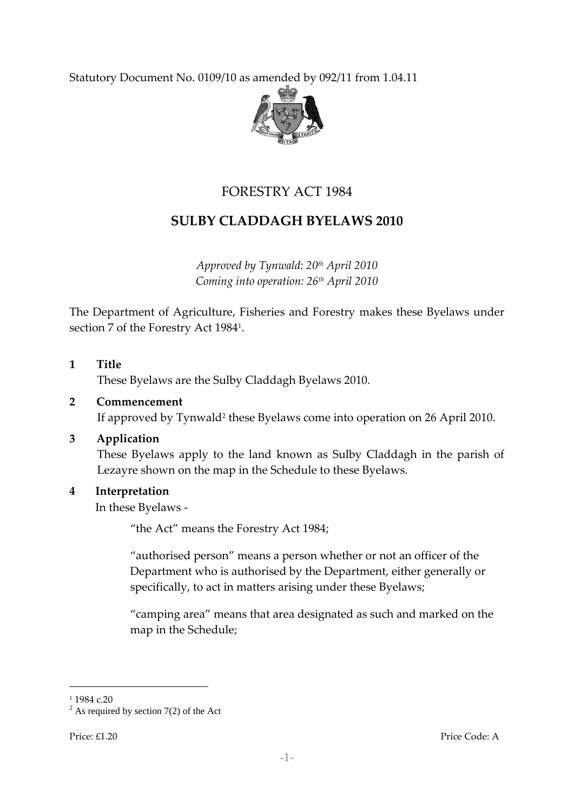Statutory Document No. 0109/10 as amended by 092/11 from 1.04.11



# FORESTRY ACT 1984

# **SULBY CLADDAGH BYELAWS 2010**

*Approved by Tynwald: 20th April 2010 Coming into operation: 26th April 2010*

The Department of Agriculture, Fisheries and Forestry makes these Byelaws under section 7 of the Forestry Act 1984<sup>1</sup> .

# **1 Title**

These Byelaws are the Sulby Claddagh Byelaws 2010.

# **2 Commencement**

If approved by Tynwald<sup>2</sup> these Byelaws come into operation on 26 April 2010.

#### **3 Application**

These Byelaws apply to the land known as Sulby Claddagh in the parish of Lezayre shown on the map in the Schedule to these Byelaws.

#### **4 Interpretation**

In these Byelaws -

'the Act' means the Forestry Act 1984;

"authorised person" means a person whether or not an officer of the Department who is authorised by the Department, either generally or specifically, to act in matters arising under these Byelaws;

'camping area' means that area designated as such and marked on the map in the Schedule;

1

<sup>&</sup>lt;sup>1</sup> 1984 c.20

 $2^2$  As required by section 7(2) of the Act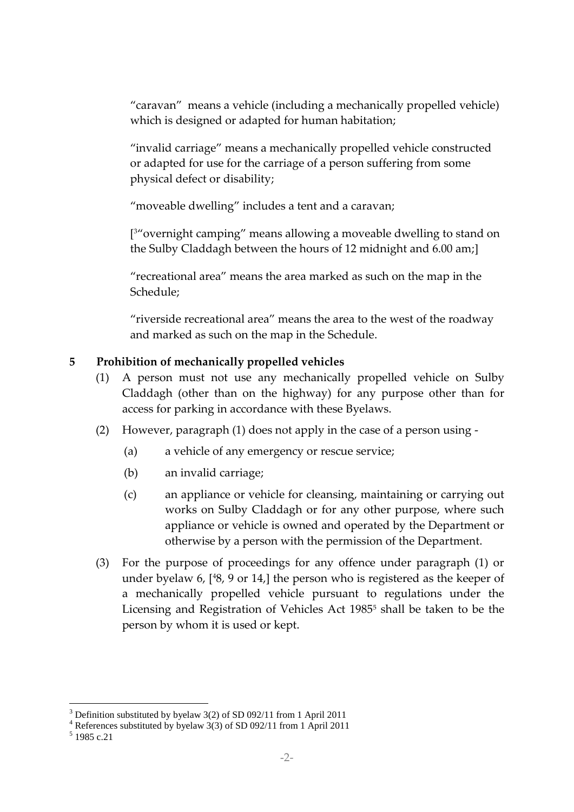'caravan' means a vehicle (including a mechanically propelled vehicle) which is designed or adapted for human habitation;

'invalid carriage' means a mechanically propelled vehicle constructed or adapted for use for the carriage of a person suffering from some physical defect or disability;

'moveable dwelling' includes a tent and a caravan;

[ <sup>3</sup>'overnight camping' means allowing a moveable dwelling to stand on the Sulby Claddagh between the hours of 12 midnight and 6.00 am;]

'recreational area' means the area marked as such on the map in the Schedule;

'riverside recreational area' means the area to the west of the roadway and marked as such on the map in the Schedule.

# **5 Prohibition of mechanically propelled vehicles**

- (1) A person must not use any mechanically propelled vehicle on Sulby Claddagh (other than on the highway) for any purpose other than for access for parking in accordance with these Byelaws.
- (2) However, paragraph (1) does not apply in the case of a person using
	- (a) a vehicle of any emergency or rescue service;
	- (b) an invalid carriage;
	- (c) an appliance or vehicle for cleansing, maintaining or carrying out works on Sulby Claddagh or for any other purpose, where such appliance or vehicle is owned and operated by the Department or otherwise by a person with the permission of the Department.
- (3) For the purpose of proceedings for any offence under paragraph (1) or under byelaw 6, [ <sup>4</sup>8, 9 or 14,] the person who is registered as the keeper of a mechanically propelled vehicle pursuant to regulations under the Licensing and Registration of Vehicles Act 1985<sup>5</sup> shall be taken to be the person by whom it is used or kept.

<sup>&</sup>lt;u>.</u>  $3$  Definition substituted by byelaw 3(2) of SD 092/11 from 1 April 2011

<sup>4</sup> References substituted by byelaw 3(3) of SD 092/11 from 1 April 2011

<sup>5</sup> 1985 c.21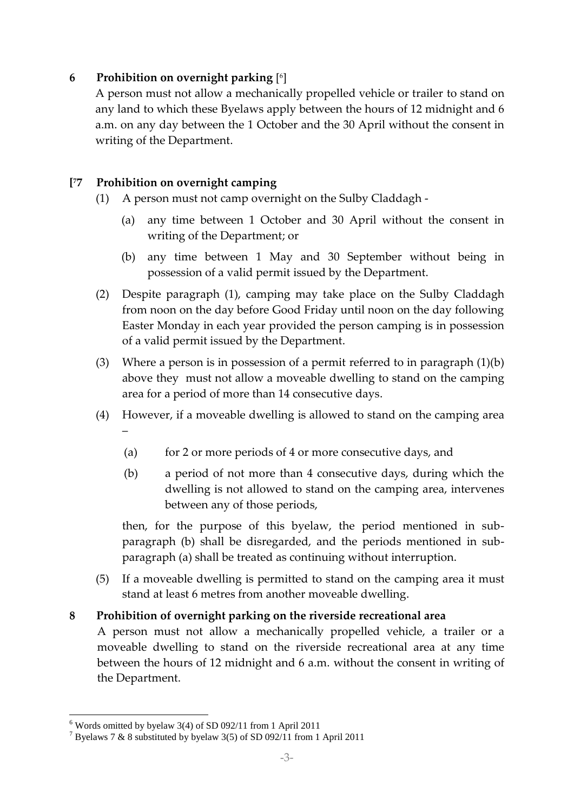# **6 Prohibition on overnight parking** [ 6 ]

A person must not allow a mechanically propelled vehicle or trailer to stand on any land to which these Byelaws apply between the hours of 12 midnight and 6 a.m. on any day between the 1 October and the 30 April without the consent in writing of the Department.

#### **[ <sup>7</sup>7 Prohibition on overnight camping**

- (1) A person must not camp overnight on the Sulby Claddagh
	- (a) any time between 1 October and 30 April without the consent in writing of the Department; or
	- (b) any time between 1 May and 30 September without being in possession of a valid permit issued by the Department.
- (2) Despite paragraph (1), camping may take place on the Sulby Claddagh from noon on the day before Good Friday until noon on the day following Easter Monday in each year provided the person camping is in possession of a valid permit issued by the Department.
- (3) Where a person is in possession of a permit referred to in paragraph  $(1)(b)$ above they must not allow a moveable dwelling to stand on the camping area for a period of more than 14 consecutive days.
- (4) However, if a moveable dwelling is allowed to stand on the camping area –
	- (a) for 2 or more periods of 4 or more consecutive days, and
	- (b) a period of not more than 4 consecutive days, during which the dwelling is not allowed to stand on the camping area, intervenes between any of those periods,

then, for the purpose of this byelaw, the period mentioned in subparagraph (b) shall be disregarded, and the periods mentioned in subparagraph (a) shall be treated as continuing without interruption.

(5) If a moveable dwelling is permitted to stand on the camping area it must stand at least 6 metres from another moveable dwelling.

#### **8 Prohibition of overnight parking on the riverside recreational area**

A person must not allow a mechanically propelled vehicle, a trailer or a moveable dwelling to stand on the riverside recreational area at any time between the hours of 12 midnight and 6 a.m. without the consent in writing of the Department.

<sup>1</sup>  $6$  Words omitted by byelaw 3(4) of SD 092/11 from 1 April 2011

 $7$  Byelaws 7 & 8 substituted by byelaw 3(5) of SD 092/11 from 1 April 2011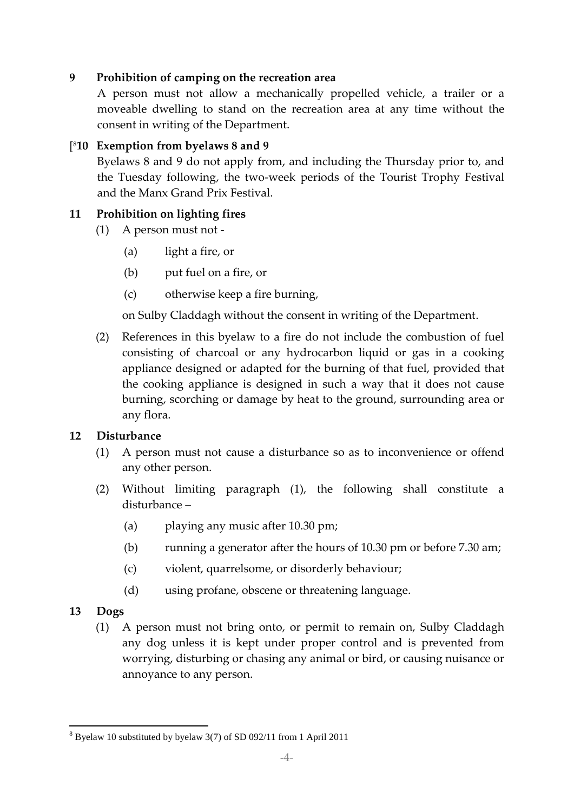# **9 Prohibition of camping on the recreation area**

A person must not allow a mechanically propelled vehicle, a trailer or a moveable dwelling to stand on the recreation area at any time without the consent in writing of the Department.

# [ <sup>8</sup>**10 Exemption from byelaws 8 and 9**

Byelaws 8 and 9 do not apply from, and including the Thursday prior to, and the Tuesday following, the two-week periods of the Tourist Trophy Festival and the Manx Grand Prix Festival.

# **11 Prohibition on lighting fires**

- (1) A person must not
	- (a) light a fire, or
	- (b) put fuel on a fire, or
	- (c) otherwise keep a fire burning,

on Sulby Claddagh without the consent in writing of the Department.

(2) References in this byelaw to a fire do not include the combustion of fuel consisting of charcoal or any hydrocarbon liquid or gas in a cooking appliance designed or adapted for the burning of that fuel, provided that the cooking appliance is designed in such a way that it does not cause burning, scorching or damage by heat to the ground, surrounding area or any flora.

#### **12 Disturbance**

- (1) A person must not cause a disturbance so as to inconvenience or offend any other person.
- (2) Without limiting paragraph (1), the following shall constitute a disturbance –
	- (a) playing any music after 10.30 pm;
	- (b) running a generator after the hours of 10.30 pm or before 7.30 am;
	- (c) violent, quarrelsome, or disorderly behaviour;
	- (d) using profane, obscene or threatening language.

#### **13 Dogs**

(1) A person must not bring onto, or permit to remain on, Sulby Claddagh any dog unless it is kept under proper control and is prevented from worrying, disturbing or chasing any animal or bird, or causing nuisance or annoyance to any person.

<sup>1</sup> <sup>8</sup> Byelaw 10 substituted by byelaw 3(7) of SD 092/11 from 1 April 2011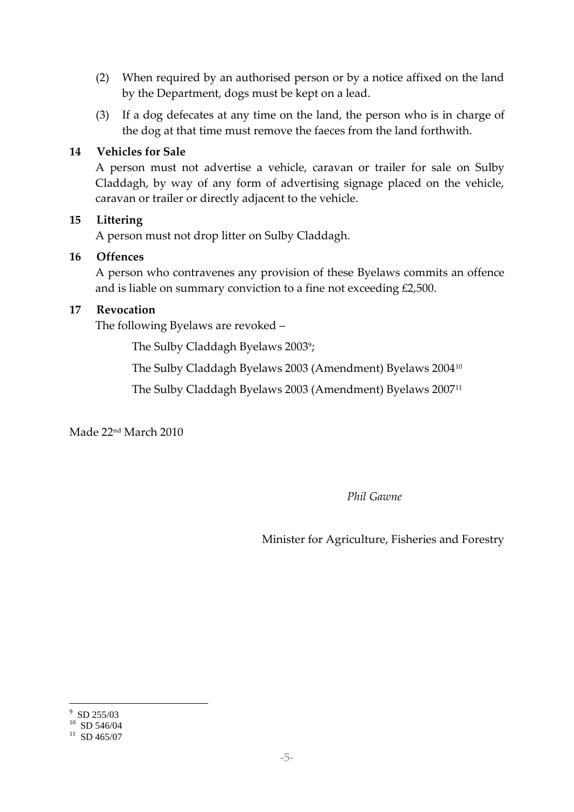- (2) When required by an authorised person or by a notice affixed on the land by the Department, dogs must be kept on a lead.
- (3) If a dog defecates at any time on the land, the person who is in charge of the dog at that time must remove the faeces from the land forthwith.

#### **14 Vehicles for Sale**

A person must not advertise a vehicle, caravan or trailer for sale on Sulby Claddagh, by way of any form of advertising signage placed on the vehicle, caravan or trailer or directly adjacent to the vehicle.

#### **15 Littering**

A person must not drop litter on Sulby Claddagh.

#### **16 Offences**

A person who contravenes any provision of these Byelaws commits an offence and is liable on summary conviction to a fine not exceeding £2,500.

#### **17 Revocation**

The following Byelaws are revoked –

The Sulby Claddagh Byelaws 2003°;

The Sulby Claddagh Byelaws 2003 (Amendment) Byelaws 2004<sup>10</sup>

The Sulby Claddagh Byelaws 2003 (Amendment) Byelaws 2007<sup>11</sup>

Made 22nd March 2010

*Phil Gawne*

Minister for Agriculture, Fisheries and Forestry

 $\frac{9}{10}$  SD 255/03<br> $\frac{10}{10}$  SD 546/04

 $^{11}$  SD 465/07